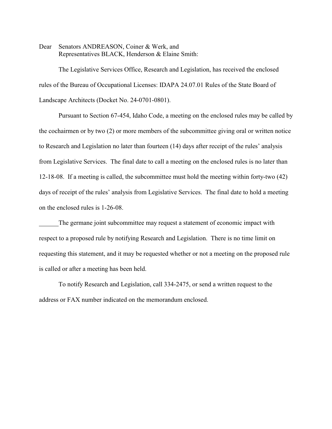Dear Senators ANDREASON, Coiner & Werk, and Representatives BLACK, Henderson & Elaine Smith:

The Legislative Services Office, Research and Legislation, has received the enclosed rules of the Bureau of Occupational Licenses: IDAPA 24.07.01 Rules of the State Board of Landscape Architects (Docket No. 24-0701-0801).

Pursuant to Section 67-454, Idaho Code, a meeting on the enclosed rules may be called by the cochairmen or by two (2) or more members of the subcommittee giving oral or written notice to Research and Legislation no later than fourteen (14) days after receipt of the rules' analysis from Legislative Services. The final date to call a meeting on the enclosed rules is no later than 12-18-08. If a meeting is called, the subcommittee must hold the meeting within forty-two (42) days of receipt of the rules' analysis from Legislative Services. The final date to hold a meeting on the enclosed rules is 1-26-08.

The germane joint subcommittee may request a statement of economic impact with respect to a proposed rule by notifying Research and Legislation. There is no time limit on requesting this statement, and it may be requested whether or not a meeting on the proposed rule is called or after a meeting has been held.

To notify Research and Legislation, call 334-2475, or send a written request to the address or FAX number indicated on the memorandum enclosed.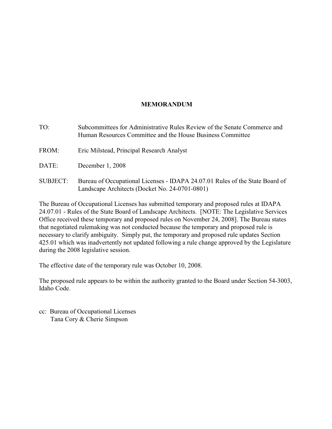## **MEMORANDUM**

TO: Subcommittees for Administrative Rules Review of the Senate Commerce and Human Resources Committee and the House Business Committee

- FROM: Eric Milstead, Principal Research Analyst
- DATE: December 1, 2008
- SUBJECT: Bureau of Occupational Licenses IDAPA 24.07.01 Rules of the State Board of Landscape Architects (Docket No. 24-0701-0801)

The Bureau of Occupational Licenses has submitted temporary and proposed rules at IDAPA 24.07.01 - Rules of the State Board of Landscape Architects. [NOTE: The Legislative Services Office received these temporary and proposed rules on November 24, 2008]. The Bureau states that negotiated rulemaking was not conducted because the temporary and proposed rule is necessary to clarify ambiguity. Simply put, the temporary and proposed rule updates Section 425.01 which was inadvertently not updated following a rule change approved by the Legislature during the 2008 legislative session.

The effective date of the temporary rule was October 10, 2008.

The proposed rule appears to be within the authority granted to the Board under Section 54-3003, Idaho Code.

cc: Bureau of Occupational Licenses Tana Cory & Cherie Simpson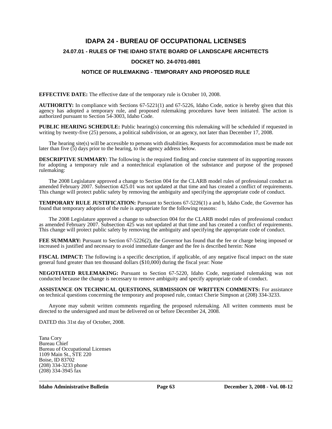# **IDAPA 24 - BUREAU OF OCCUPATIONAL LICENSES 24.07.01 - RULES OF THE IDAHO STATE BOARD OF LANDSCAPE ARCHITECTS**

#### **DOCKET NO. 24-0701-0801**

### **NOTICE OF RULEMAKING - TEMPORARY AND PROPOSED RULE**

**EFFECTIVE DATE:** The effective date of the temporary rule is October 10, 2008.

**AUTHORITY:** In compliance with Sections 67-5221(1) and 67-5226, Idaho Code, notice is hereby given that this agency has adopted a temporary rule, and proposed rulemaking procedures have been initiated. The action is authorized pursuant to Section 54-3003, Idaho Code.

**PUBLIC HEARING SCHEDULE:** Public hearing(s) concerning this rulemaking will be scheduled if requested in writing by twenty-five (25) persons, a political subdivision, or an agency, not later than December 17, 2008.

The hearing site(s) will be accessible to persons with disabilities. Requests for accommodation must be made not later than five  $(5)$  days prior to the hearing, to the agency address below.

**DESCRIPTIVE SUMMARY:** The following is the required finding and concise statement of its supporting reasons for adopting a temporary rule and a nontechnical explanation of the substance and purpose of the proposed rulemaking:

The 2008 Legislature approved a change to Section 004 for the CLARB model rules of professional conduct as amended February 2007. Subsection 425.01 was not updated at that time and has created a conflict of requirements. This change will protect public safety by removing the ambiguity and specifying the appropriate code of conduct.

**TEMPORARY RULE JUSTIFICATION:** Pursuant to Sections 67-5226(1) a and b, Idaho Code, the Governor has found that temporary adoption of the rule is appropriate for the following reasons:

The 2008 Legislature approved a change to subsection 004 for the CLARB model rules of professional conduct as amended February 2007. Subsection 425 was not updated at that time and has created a conflict of requirements. This change will protect public safety by removing the ambiguity and specifying the appropriate code of conduct.

**FEE SUMMARY:** Pursuant to Section 67-5226(2), the Governor has found that the fee or charge being imposed or increased is justified and necessary to avoid immediate danger and the fee is described herein: None

**FISCAL IMPACT:** The following is a specific description, if applicable, of any negative fiscal impact on the state general fund greater than ten thousand dollars (\$10,000) during the fiscal year: None

**NEGOTIATED RULEMAKING:** Pursuant to Section 67-5220, Idaho Code, negotiated rulemaking was not conducted because the change is necessary to remove ambiguity and specify appropriate code of conduct.

**ASSISTANCE ON TECHNICAL QUESTIONS, SUBMISSION OF WRITTEN COMMENTS:** For assistance on technical questions concerning the temporary and proposed rule, contact Cherie Simpson at (208) 334-3233.

Anyone may submit written comments regarding the proposed rulemaking. All written comments must be directed to the undersigned and must be delivered on or before December 24, 2008.

DATED this 31st day of October, 2008.

Tana Cory Bureau Chief Bureau of Occupational Licenses 1109 Main St., STE 220 Boise, ID 83702 (208) 334-3233 phone (208) 334-3945 fax